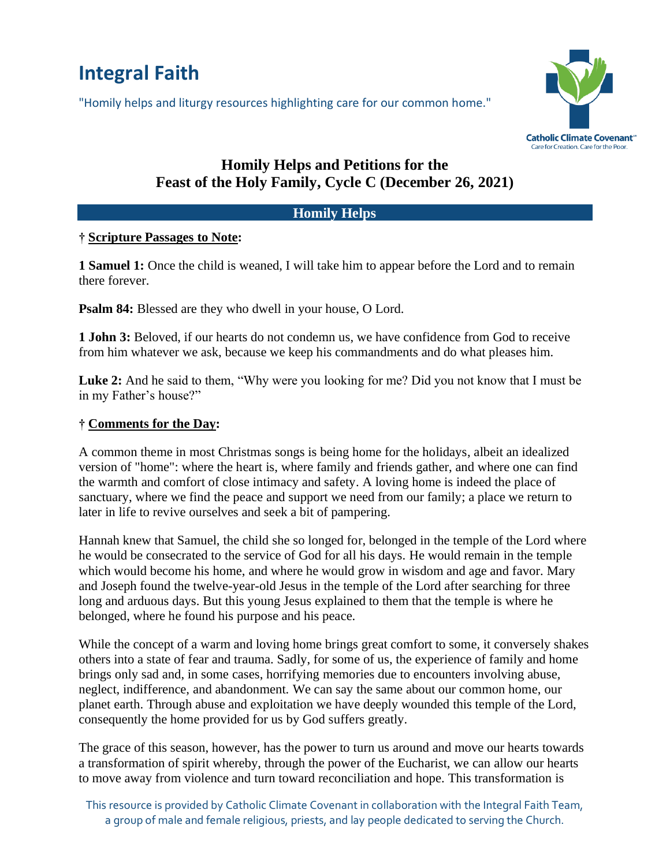# **Integral Faith**

"Homily helps and liturgy resources highlighting care for our common home."



# **Homily Helps and Petitions for the Feast of the Holy Family, Cycle C (December 26, 2021)**

#### **Homily Helps**

### **† Scripture Passages to Note:**

**1 Samuel 1:** Once the child is weaned, I will take him to appear before the Lord and to remain there forever.

**Psalm 84:** Blessed are they who dwell in your house, O Lord.

**1 John 3:** Beloved, if our hearts do not condemn us, we have confidence from God to receive from him whatever we ask, because we keep his commandments and do what pleases him.

Luke 2: And he said to them, "Why were you looking for me? Did you not know that I must be in my Father's house?"

### **† Comments for the Day:**

A common theme in most Christmas songs is being home for the holidays, albeit an idealized version of "home": where the heart is, where family and friends gather, and where one can find the warmth and comfort of close intimacy and safety. A loving home is indeed the place of sanctuary, where we find the peace and support we need from our family; a place we return to later in life to revive ourselves and seek a bit of pampering.

Hannah knew that Samuel, the child she so longed for, belonged in the temple of the Lord where he would be consecrated to the service of God for all his days. He would remain in the temple which would become his home, and where he would grow in wisdom and age and favor. Mary and Joseph found the twelve-year-old Jesus in the temple of the Lord after searching for three long and arduous days. But this young Jesus explained to them that the temple is where he belonged, where he found his purpose and his peace.

While the concept of a warm and loving home brings great comfort to some, it conversely shakes others into a state of fear and trauma. Sadly, for some of us, the experience of family and home brings only sad and, in some cases, horrifying memories due to encounters involving abuse, neglect, indifference, and abandonment. We can say the same about our common home, our planet earth. Through abuse and exploitation we have deeply wounded this temple of the Lord, consequently the home provided for us by God suffers greatly.

The grace of this season, however, has the power to turn us around and move our hearts towards a transformation of spirit whereby, through the power of the Eucharist, we can allow our hearts to move away from violence and turn toward reconciliation and hope. This transformation is

This resource is provided by Catholic Climate Covenant in collaboration with the Integral Faith Team, a group of male and female religious, priests, and lay people dedicated to serving the Church.